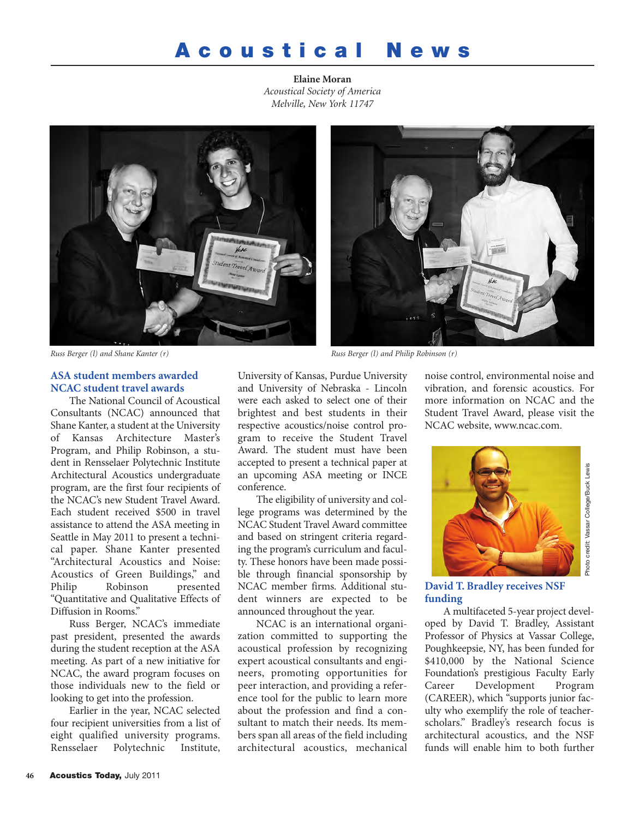# **A c o u s t i c a l N e w s**

**Elaine Moran** *Acoustical Society of America Melville, New York 11747*





*Russ Berger (l) and Shane Kanter (r) Russ Berger (l) and Philip Robinson (r)*

## **ASA student members awarded NCAC student travel awards**

The National Council of Acoustical Consultants (NCAC) announced that Shane Kanter, a student at the University of Kansas Architecture Master's Program, and Philip Robinson, a student in Rensselaer Polytechnic Institute Architectural Acoustics undergraduate program, are the first four recipients of the NCAC's new Student Travel Award. Each student received \$500 in travel assistance to attend the ASA meeting in Seattle in May 2011 to present a technical paper. Shane Kanter presented "Architectural Acoustics and Noise: Acoustics of Green Buildings," and Philip Robinson presented "Quantitative and Qualitative Effects of Diffusion in Rooms."

Russ Berger, NCAC's immediate past president, presented the awards during the student reception at the ASA meeting. As part of a new initiative for NCAC, the award program focuses on those individuals new to the field or looking to get into the profession.

Earlier in the year, NCAC selected four recipient universities from a list of eight qualified university programs. Rensselaer Polytechnic Institute,

University of Kansas, Purdue University and University of Nebraska - Lincoln were each asked to select one of their brightest and best students in their respective acoustics/noise control program to receive the Student Travel Award. The student must have been accepted to present a technical paper at an upcoming ASA meeting or INCE conference.

The eligibility of university and college programs was determined by the NCAC Student Travel Award committee and based on stringent criteria regarding the program's curriculum and faculty. These honors have been made possible through financial sponsorship by NCAC member firms. Additional student winners are expected to be announced throughout the year.

NCAC is an international organization committed to supporting the acoustical profession by recognizing expert acoustical consultants and engineers, promoting opportunities for peer interaction, and providing a reference tool for the public to learn more about the profession and find a consultant to match their needs. Its members span all areas of the field including architectural acoustics, mechanical noise control, environmental noise and vibration, and forensic acoustics. For more information on NCAC and the Student Travel Award, please visit the NCAC website, www.ncac.com.



**David T. Bradley receives NSF funding**

A multifaceted 5-year project developed by David T. Bradley, Assistant Professor of Physics at Vassar College, Poughkeepsie, NY, has been funded for \$410,000 by the National Science Foundation's prestigious Faculty Early Career Development Program (CAREER), which "supports junior faculty who exemplify the role of teacherscholars." Bradley's research focus is architectural acoustics, and the NSF funds will enable him to both further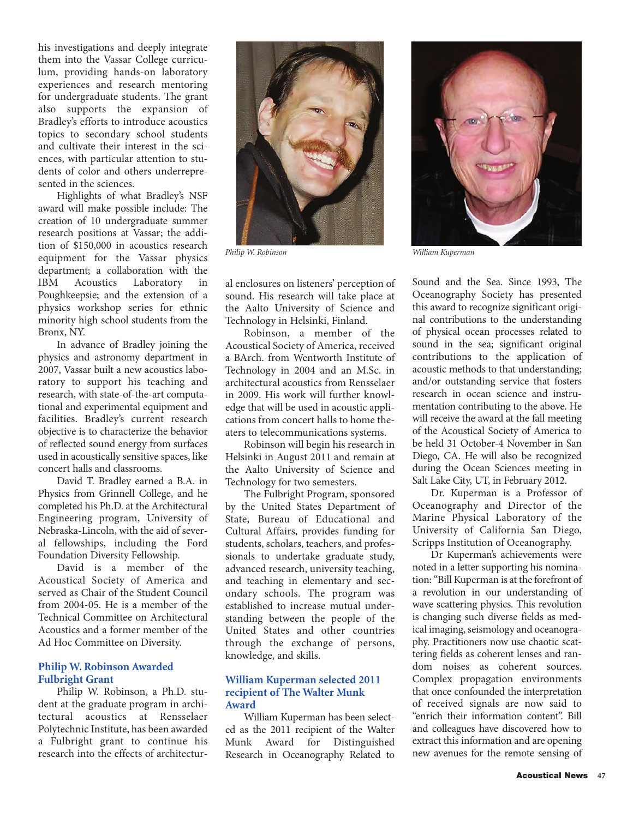his investigations and deeply integrate them into the Vassar College curriculum, providing hands-on laboratory experiences and research mentoring for undergraduate students. The grant also supports the expansion of Bradley's efforts to introduce acoustics topics to secondary school students and cultivate their interest in the sciences, with particular attention to students of color and others underrepresented in the sciences.

Highlights of what Bradley's NSF award will make possible include: The creation of 10 undergraduate summer research positions at Vassar; the addition of \$150,000 in acoustics research equipment for the Vassar physics department; a collaboration with the IBM Acoustics Laboratory in Poughkeepsie; and the extension of a physics workshop series for ethnic minority high school students from the Bronx, NY.

In advance of Bradley joining the physics and astronomy department in 2007, Vassar built a new acoustics laboratory to support his teaching and research, with state-of-the-art computational and experimental equipment and facilities. Bradley's current research objective is to characterize the behavior of reflected sound energy from surfaces used in acoustically sensitive spaces, like concert halls and classrooms.

David T. Bradley earned a B.A. in Physics from Grinnell College, and he completed his Ph.D. at the Architectural Engineering program, University of Nebraska-Lincoln, with the aid of several fellowships, including the Ford Foundation Diversity Fellowship.

David is a member of the Acoustical Society of America and served as Chair of the Student Council from 2004-05. He is a member of the Technical Committee on Architectural Acoustics and a former member of the Ad Hoc Committee on Diversity.

#### **Philip W. Robinson Awarded Fulbright Grant**

Philip W. Robinson, a Ph.D. student at the graduate program in architectural acoustics at Rensselaer Polytechnic Institute, has been awarded a Fulbright grant to continue his research into the effects of architectur-



al enclosures on listeners' perception of sound. His research will take place at the Aalto University of Science and Technology in Helsinki, Finland.

Robinson, a member of the Acoustical Society of America, received a BArch. from Wentworth Institute of Technology in 2004 and an M.Sc. in architectural acoustics from Rensselaer in 2009. His work will further knowledge that will be used in acoustic applications from concert halls to home theaters to telecommunications systems.

Robinson will begin his research in Helsinki in August 2011 and remain at the Aalto University of Science and Technology for two semesters.

The Fulbright Program, sponsored by the United States Department of State, Bureau of Educational and Cultural Affairs, provides funding for students, scholars, teachers, and professionals to undertake graduate study, advanced research, university teaching, and teaching in elementary and secondary schools. The program was established to increase mutual understanding between the people of the United States and other countries through the exchange of persons, knowledge, and skills.

## **William Kuperman selected 2011 recipient of The Walter Munk Award**

William Kuperman has been selected as the 2011 recipient of the Walter Munk Award for Distinguished Research in Oceanography Related to



*Philip W. Robinson William Kuperman*

Sound and the Sea. Since 1993, The Oceanography Society has presented this award to recognize significant original contributions to the understanding of physical ocean processes related to sound in the sea; significant original contributions to the application of acoustic methods to that understanding; and/or outstanding service that fosters research in ocean science and instrumentation contributing to the above. He will receive the award at the fall meeting of the Acoustical Society of America to be held 31 October-4 November in San Diego, CA. He will also be recognized during the Ocean Sciences meeting in Salt Lake City, UT, in February 2012.

Dr. Kuperman is a Professor of Oceanography and Director of the Marine Physical Laboratory of the University of California San Diego, Scripps Institution of Oceanography.

Dr Kuperman's achievements were noted in a letter supporting his nomination: "Bill Kuperman is at the forefront of a revolution in our understanding of wave scattering physics. This revolution is changing such diverse fields as medical imaging, seismology and oceanography. Practitioners now use chaotic scattering fields as coherent lenses and random noises as coherent sources. Complex propagation environments that once confounded the interpretation of received signals are now said to "enrich their information content". Bill and colleagues have discovered how to extract this information and are opening new avenues for the remote sensing of